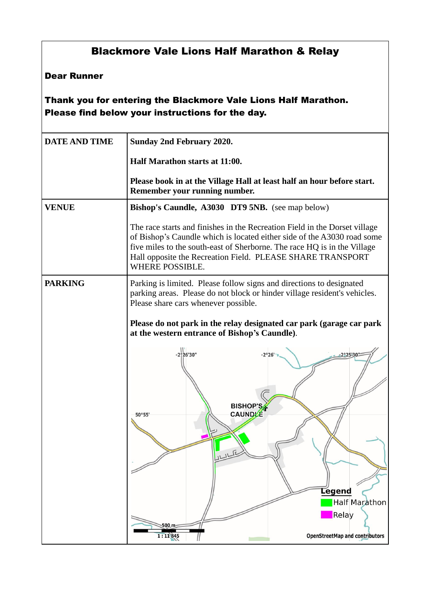## Blackmore Vale Lions Half Marathon & Relay

## Dear Runner

Thank you for entering the Blackmore Vale Lions Half Marathon. Please find below your instructions for the day.

| <b>DATE AND TIME</b> | <b>Sunday 2nd February 2020.</b>                                                                                                                                                                                                                                                                                          |
|----------------------|---------------------------------------------------------------------------------------------------------------------------------------------------------------------------------------------------------------------------------------------------------------------------------------------------------------------------|
|                      | Half Marathon starts at 11:00.                                                                                                                                                                                                                                                                                            |
|                      | Please book in at the Village Hall at least half an hour before start.<br>Remember your running number.                                                                                                                                                                                                                   |
| <b>VENUE</b>         | Bishop's Caundle, A3030 DT9 5NB. (see map below)                                                                                                                                                                                                                                                                          |
|                      | The race starts and finishes in the Recreation Field in the Dorset village<br>of Bishop's Caundle which is located either side of the A3030 road some<br>five miles to the south-east of Sherborne. The race HQ is in the Village<br>Hall opposite the Recreation Field. PLEASE SHARE TRANSPORT<br><b>WHERE POSSIBLE.</b> |
| <b>PARKING</b>       | Parking is limited. Please follow signs and directions to designated<br>parking areas. Please do not block or hinder village resident's vehicles.<br>Please share cars whenever possible.                                                                                                                                 |
|                      | Please do not park in the relay designated car park (garage car park<br>at the western entrance of Bishop's Caundle).                                                                                                                                                                                                     |
|                      | -2926'30"<br>$-2°26$<br>$2^{\circ}25'30'$<br><b>BISHOP'S</b><br><b>CAUNDLE</b><br>50°55<br><u>JLLF</u><br>Legend<br><b>Half Marathon</b><br>Relay<br>$500 \text{ m}$<br>1:11845<br><b>OpenStreetMap and contributors</b>                                                                                                  |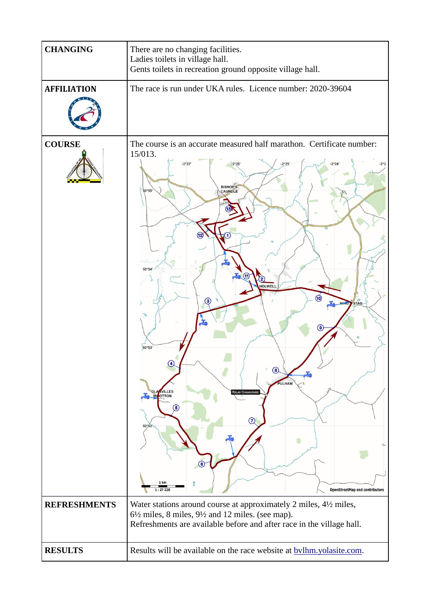| <b>CHANGING</b>     | There are no changing facilities.<br>Ladies toilets in village hall.<br>Gents toilets in recreation ground opposite village hall.                                                                                                                                                                                                    |
|---------------------|--------------------------------------------------------------------------------------------------------------------------------------------------------------------------------------------------------------------------------------------------------------------------------------------------------------------------------------|
| <b>AFFILIATION</b>  | The race is run under UKA rules. Licence number: 2020-39604                                                                                                                                                                                                                                                                          |
| <b>COURSE</b>       | The course is an accurate measured half marathon. Certificate number:<br>15/013.<br>$-2°26$<br>BISHOP'S<br>CAUNDLE<br>50°5<br>50°54<br>HOLWELL<br>(10)<br>3)<br>TAG<br>50°53'<br>8<br><b>PULHAM</b><br><b>GLA VILLES</b><br><b>RELAY CHANGOVER</b><br>6<br>(7)<br>50%52<br>1 km<br><b>OpenStreetMap and contributors</b><br>1:27 228 |
| <b>REFRESHMENTS</b> | Water stations around course at approximately 2 miles, 41/2 miles,<br>$6\frac{1}{2}$ miles, 8 miles, $9\frac{1}{2}$ and 12 miles. (see map).<br>Refreshments are available before and after race in the village hall.                                                                                                                |
| <b>RESULTS</b>      | Results will be available on the race website at <b>bylhm</b> .yolasite.com.                                                                                                                                                                                                                                                         |